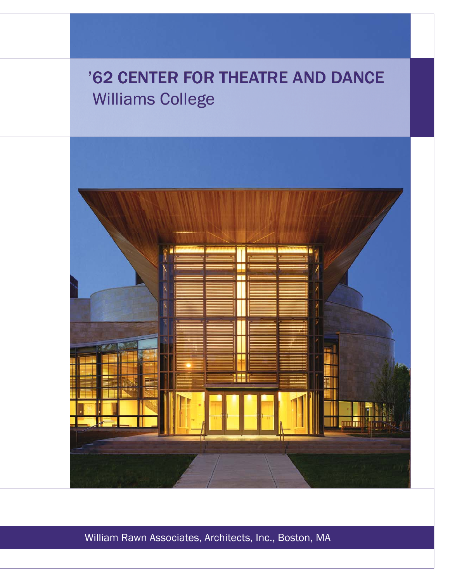# '62 CENTER FOR THEATRE AND DANCE Williams College



William Rawn Associates, Architects, Inc., Boston, MA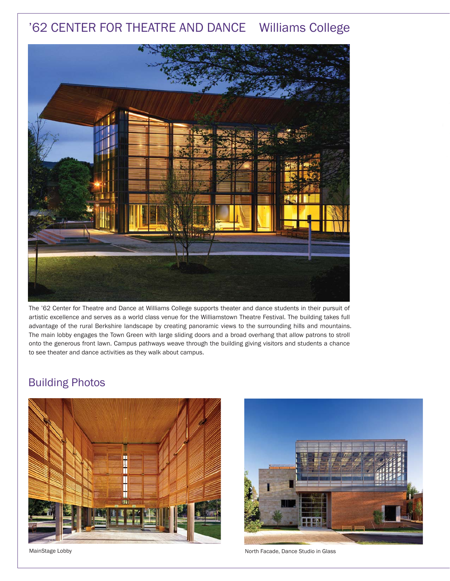## '62 CENTER FOR THEATRE AND DANCE Williams College



The '62 Center for Theatre and Dance at Williams College supports theater and dance students in their pursuit of artistic excellence and serves as a world class venue for the Williamstown Theatre Festival. The building takes full advantage of the rural Berkshire landscape by creating panoramic views to the surrounding hills and mountains. The main lobby engages the Town Green with large sliding doors and a broad overhang that allow patrons to stroll onto the generous front lawn. Campus pathways weave through the building giving visitors and students a chance to see theater and dance activities as they walk about campus.

### Building Photos





MainStage Lobby **Notify Accord Facade, Dance Studio in Glass** North Facade, Dance Studio in Glass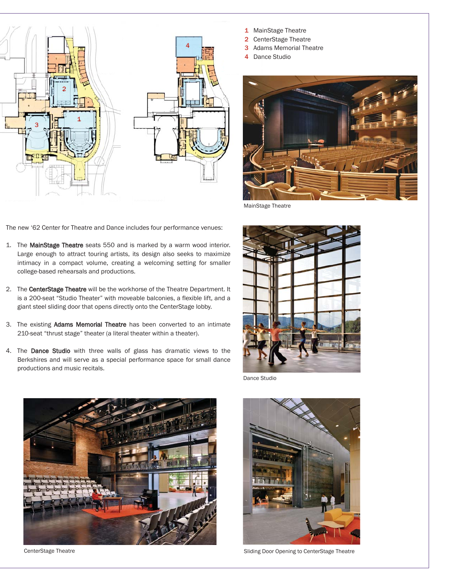

- 1 MainStage Theatre
- 2 CenterStage Theatre
- 3 Adams Memorial Theatre
- 4 Dance Studio



MainStage Theatre

The new '62 Center for Theatre and Dance includes four performance venues:

- 1. The MainStage Theatre seats 550 and is marked by a warm wood interior. Large enough to attract touring artists, its design also seeks to maximize intimacy in a compact volume, creating a welcoming setting for smaller college-based rehearsals and productions.
- 2. The CenterStage Theatre will be the workhorse of the Theatre Department. It is a 200-seat "Studio Theater" with moveable balconies, a flexible lift, and a giant steel sliding door that opens directly onto the CenterStage lobby.
- 3. The existing Adams Memorial Theatre has been converted to an intimate 210-seat "thrust stage" theater (a literal theater within a theater).
- 4. The Dance Studio with three walls of glass has dramatic views to the Berkshires and will serve as a special performance space for small dance productions and music recitals.



Dance Studio



CenterStage Theatre



Sliding Door Opening to CenterStage Theatre